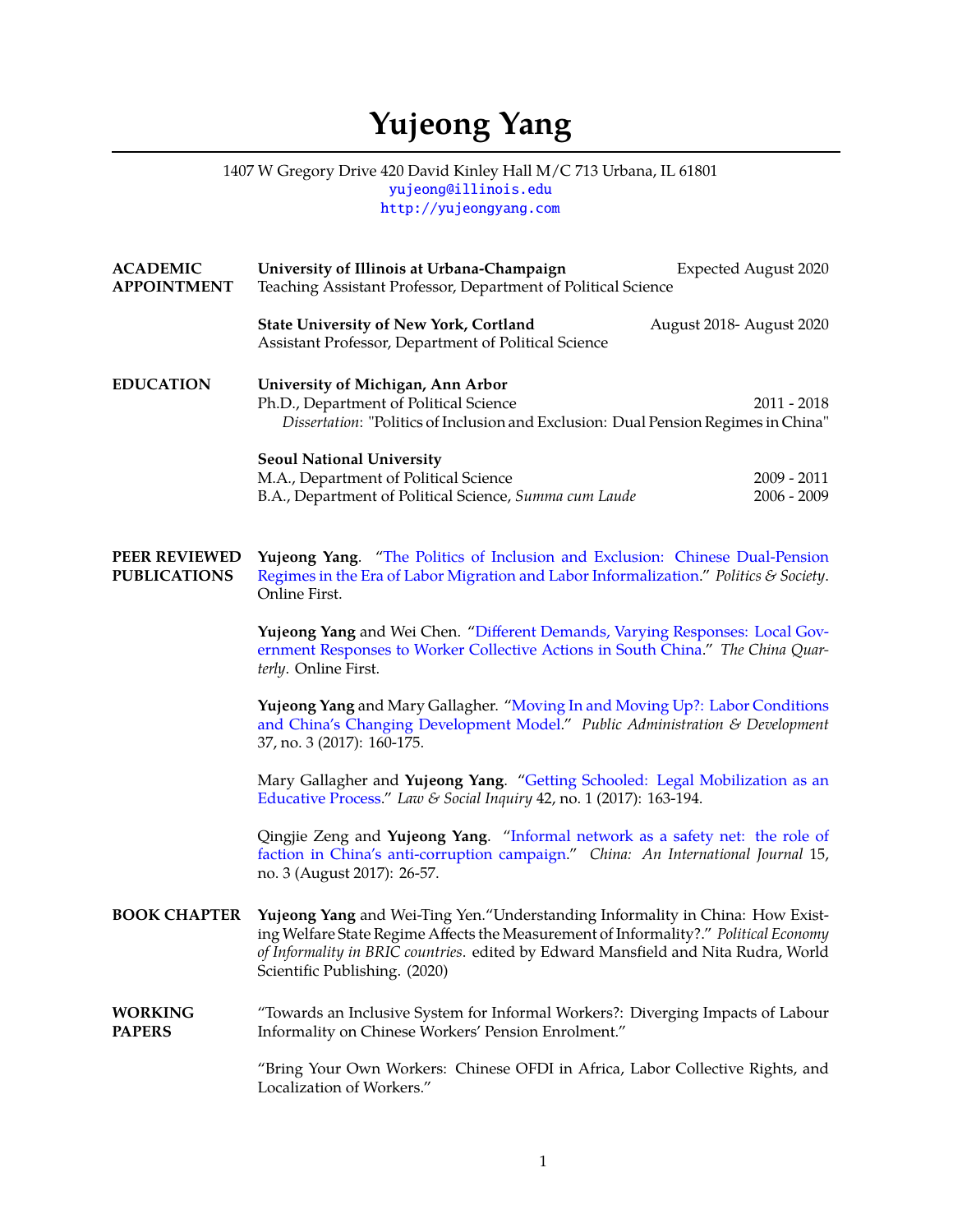## **Yujeong Yang**

## 1407 W Gregory Drive 420 David Kinley Hall M/C 713 Urbana, IL 61801 [yujeong@illinois.edu](mailto:yujeong@illinois.edu) <http://yujeongyang.com>

| <b>ACADEMIC</b><br><b>APPOINTMENT</b>       | University of Illinois at Urbana-Champaign<br>Teaching Assistant Professor, Department of Political Science                                                                                                                                                                                   | <b>Expected August 2020</b> |  |  |
|---------------------------------------------|-----------------------------------------------------------------------------------------------------------------------------------------------------------------------------------------------------------------------------------------------------------------------------------------------|-----------------------------|--|--|
|                                             | <b>State University of New York, Cortland</b><br>August 2018- August 2020<br>Assistant Professor, Department of Political Science                                                                                                                                                             |                             |  |  |
| <b>EDUCATION</b>                            | University of Michigan, Ann Arbor<br>Ph.D., Department of Political Science<br>2011 - 2018<br>Dissertation: "Politics of Inclusion and Exclusion: Dual Pension Regimes in China"                                                                                                              |                             |  |  |
|                                             | <b>Seoul National University</b><br>M.A., Department of Political Science<br>2009 - 2011<br>B.A., Department of Political Science, Summa cum Laude<br>$2006 - 2009$                                                                                                                           |                             |  |  |
| <b>PEER REVIEWED</b><br><b>PUBLICATIONS</b> | Yujeong Yang. "The Politics of Inclusion and Exclusion: Chinese Dual-Pension<br>Regimes in the Era of Labor Migration and Labor Informalization." Politics & Society.<br>Online First.                                                                                                        |                             |  |  |
|                                             | Yujeong Yang and Wei Chen. "Different Demands, Varying Responses: Local Gov-<br>ernment Responses to Worker Collective Actions in South China." The China Quar-<br>terly. Online First.                                                                                                       |                             |  |  |
|                                             | Yujeong Yang and Mary Gallagher. "Moving In and Moving Up?: Labor Conditions<br>and China's Changing Development Model." Public Administration & Development<br>37, no. 3 (2017): 160-175.                                                                                                    |                             |  |  |
|                                             | Mary Gallagher and Yujeong Yang. "Getting Schooled: Legal Mobilization as an<br>Educative Process." Law & Social Inquiry 42, no. 1 (2017): 163-194.                                                                                                                                           |                             |  |  |
|                                             | Qingjie Zeng and Yujeong Yang. "Informal network as a safety net: the role of<br>faction in China's anti-corruption campaign." China: An International Journal 15,<br>no. 3 (August 2017): 26-57.                                                                                             |                             |  |  |
| <b>BOOK CHAPTER</b>                         | Yujeong Yang and Wei-Ting Yen. "Understanding Informality in China: How Exist-<br>ing Welfare State Regime Affects the Measurement of Informality?." Political Economy<br>of Informality in BRIC countries. edited by Edward Mansfield and Nita Rudra, World<br>Scientific Publishing. (2020) |                             |  |  |
| <b>WORKING</b><br><b>PAPERS</b>             | "Towards an Inclusive System for Informal Workers?: Diverging Impacts of Labour<br>Informality on Chinese Workers' Pension Enrolment."                                                                                                                                                        |                             |  |  |
|                                             | "Bring Your Own Workers: Chinese OFDI in Africa, Labor Collective Rights, and<br>Localization of Workers."                                                                                                                                                                                    |                             |  |  |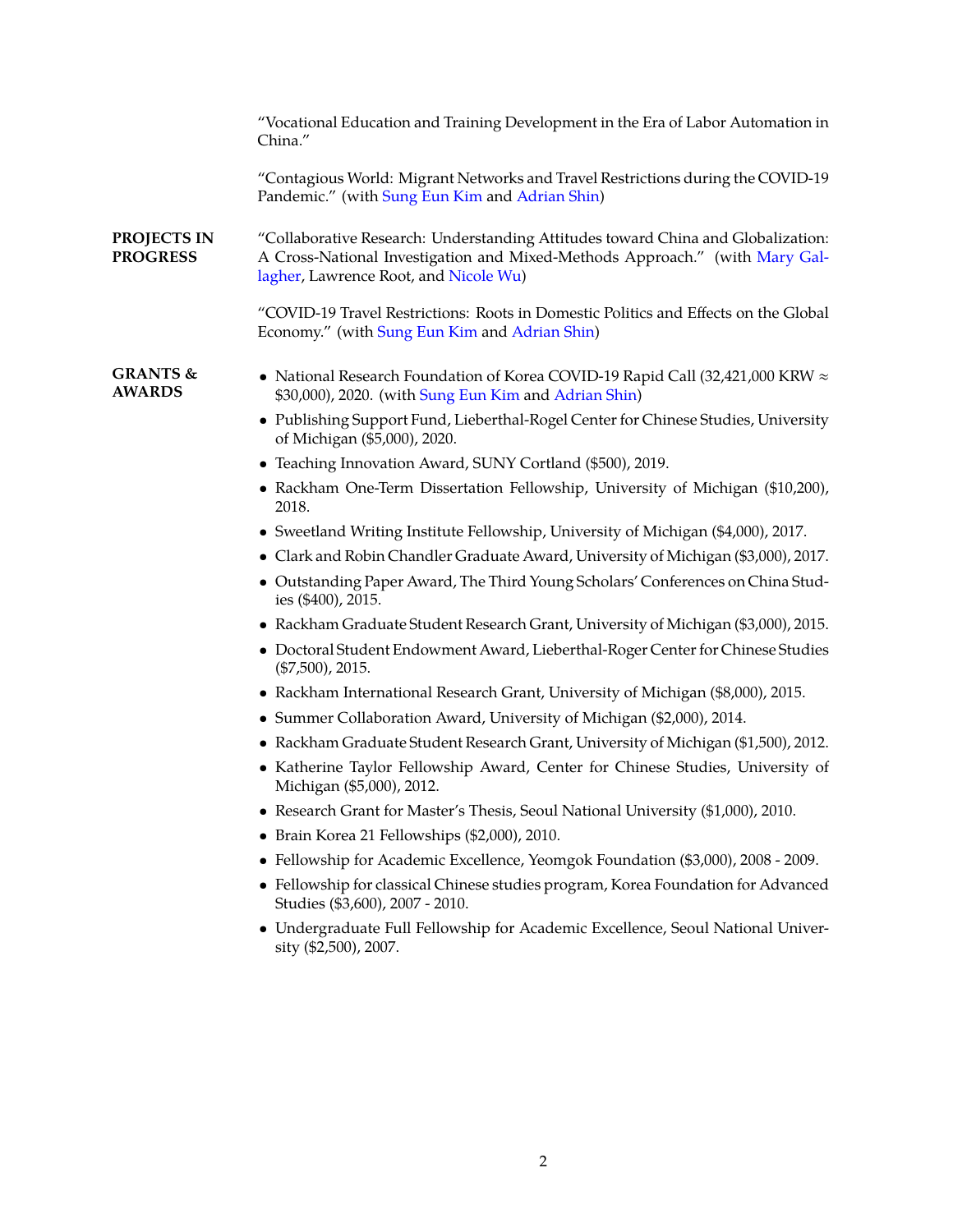|                                      | "Vocational Education and Training Development in the Era of Labor Automation in<br>China."                                                                                                              |
|--------------------------------------|----------------------------------------------------------------------------------------------------------------------------------------------------------------------------------------------------------|
|                                      | "Contagious World: Migrant Networks and Travel Restrictions during the COVID-19<br>Pandemic." (with Sung Eun Kim and Adrian Shin)                                                                        |
| PROJECTS IN<br><b>PROGRESS</b>       | "Collaborative Research: Understanding Attitudes toward China and Globalization:<br>A Cross-National Investigation and Mixed-Methods Approach." (with Mary Gal-<br>lagher, Lawrence Root, and Nicole Wu) |
|                                      | "COVID-19 Travel Restrictions: Roots in Domestic Politics and Effects on the Global<br>Economy." (with Sung Eun Kim and Adrian Shin)                                                                     |
| <b>GRANTS &amp;</b><br><b>AWARDS</b> | • National Research Foundation of Korea COVID-19 Rapid Call (32,421,000 KRW $\approx$<br>\$30,000), 2020. (with Sung Eun Kim and Adrian Shin)                                                            |
|                                      | • Publishing Support Fund, Lieberthal-Rogel Center for Chinese Studies, University<br>of Michigan (\$5,000), 2020.                                                                                       |
|                                      | • Teaching Innovation Award, SUNY Cortland (\$500), 2019.                                                                                                                                                |
|                                      | • Rackham One-Term Dissertation Fellowship, University of Michigan (\$10,200),<br>2018.                                                                                                                  |
|                                      | • Sweetland Writing Institute Fellowship, University of Michigan (\$4,000), 2017.                                                                                                                        |
|                                      | • Clark and Robin Chandler Graduate Award, University of Michigan (\$3,000), 2017.                                                                                                                       |
|                                      | • Outstanding Paper Award, The Third Young Scholars' Conferences on China Stud-<br>ies (\$400), 2015.                                                                                                    |
|                                      | • Rackham Graduate Student Research Grant, University of Michigan (\$3,000), 2015.                                                                                                                       |
|                                      | • Doctoral Student Endowment Award, Lieberthal-Roger Center for Chinese Studies<br>$(\$7,500)$ , 2015.                                                                                                   |
|                                      | • Rackham International Research Grant, University of Michigan (\$8,000), 2015.                                                                                                                          |
|                                      | • Summer Collaboration Award, University of Michigan (\$2,000), 2014.                                                                                                                                    |
|                                      | • Rackham Graduate Student Research Grant, University of Michigan (\$1,500), 2012.                                                                                                                       |
|                                      | • Katherine Taylor Fellowship Award, Center for Chinese Studies, University of<br>Michigan (\$5,000), 2012.                                                                                              |
|                                      | • Research Grant for Master's Thesis, Seoul National University (\$1,000), 2010.                                                                                                                         |
|                                      | Brain Korea 21 Fellowships (\$2,000), 2010.                                                                                                                                                              |
|                                      | Fellowship for Academic Excellence, Yeomgok Foundation (\$3,000), 2008 - 2009.                                                                                                                           |
|                                      | • Fellowship for classical Chinese studies program, Korea Foundation for Advanced<br>Studies (\$3,600), 2007 - 2010.                                                                                     |
|                                      | • Undergraduate Full Fellowship for Academic Excellence, Seoul National Univer-<br>sity (\$2,500), 2007.                                                                                                 |
|                                      |                                                                                                                                                                                                          |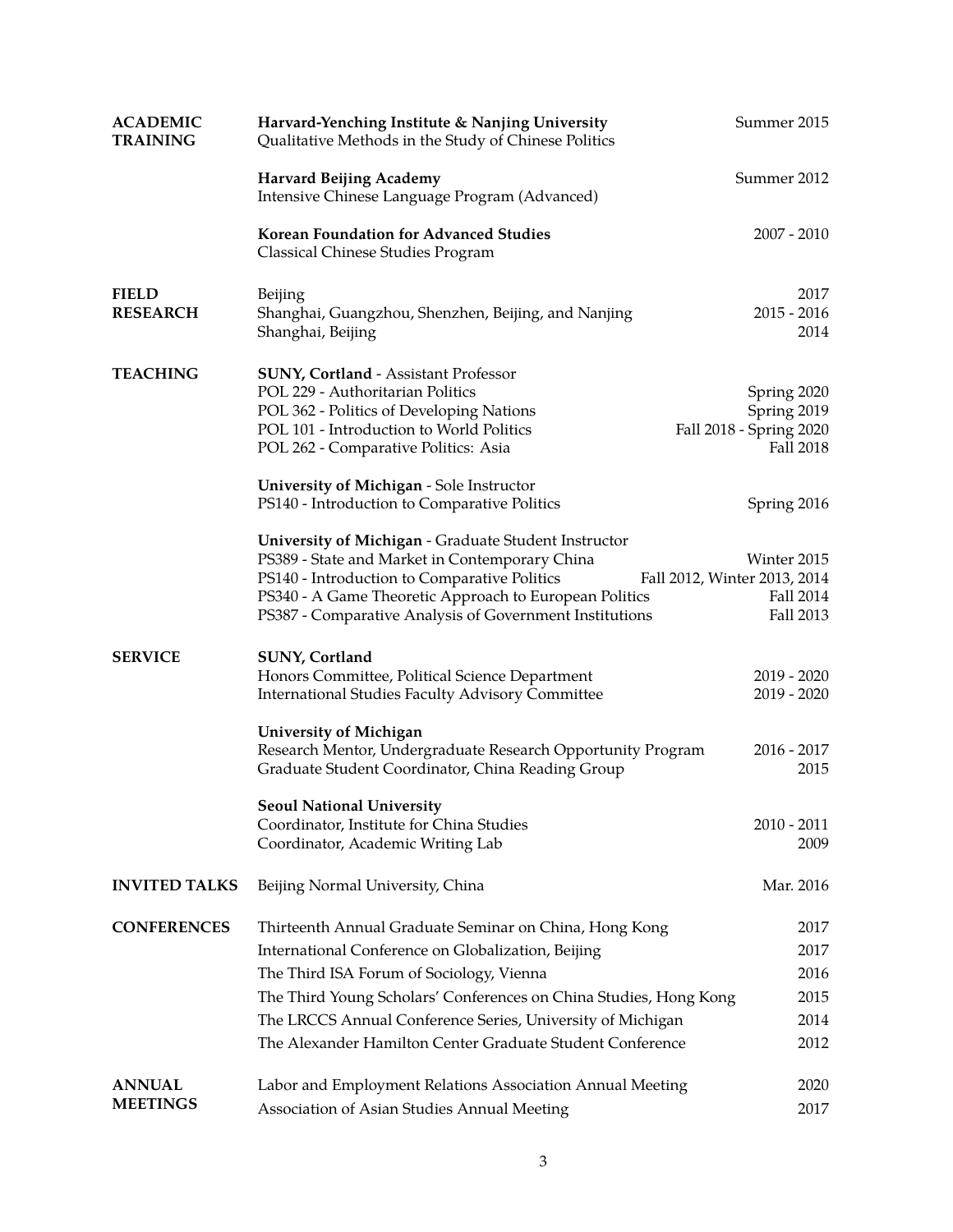| <b>ACADEMIC</b><br><b>TRAINING</b> | Harvard-Yenching Institute & Nanjing University<br>Qualitative Methods in the Study of Chinese Politics                                                                                                                                                                     | Summer 2015                                                               |
|------------------------------------|-----------------------------------------------------------------------------------------------------------------------------------------------------------------------------------------------------------------------------------------------------------------------------|---------------------------------------------------------------------------|
|                                    | <b>Harvard Beijing Academy</b><br>Intensive Chinese Language Program (Advanced)                                                                                                                                                                                             | Summer 2012                                                               |
|                                    | Korean Foundation for Advanced Studies<br>Classical Chinese Studies Program                                                                                                                                                                                                 | $2007 - 2010$                                                             |
| <b>FIELD</b><br><b>RESEARCH</b>    | Beijing<br>Shanghai, Guangzhou, Shenzhen, Beijing, and Nanjing<br>Shanghai, Beijing                                                                                                                                                                                         | 2017<br>$2015 - 2016$<br>2014                                             |
| <b>TEACHING</b>                    | <b>SUNY, Cortland - Assistant Professor</b><br>POL 229 - Authoritarian Politics<br>POL 362 - Politics of Developing Nations<br>POL 101 - Introduction to World Politics<br>POL 262 - Comparative Politics: Asia<br>University of Michigan - Sole Instructor                 | Spring 2020<br>Spring 2019<br>Fall 2018 - Spring 2020<br><b>Fall 2018</b> |
|                                    | PS140 - Introduction to Comparative Politics                                                                                                                                                                                                                                | Spring 2016                                                               |
|                                    | University of Michigan - Graduate Student Instructor<br>PS389 - State and Market in Contemporary China<br>PS140 - Introduction to Comparative Politics<br>PS340 - A Game Theoretic Approach to European Politics<br>PS387 - Comparative Analysis of Government Institutions | Winter 2015<br>Fall 2012, Winter 2013, 2014<br>Fall 2014<br>Fall 2013     |
| <b>SERVICE</b>                     | SUNY, Cortland<br>Honors Committee, Political Science Department<br>International Studies Faculty Advisory Committee                                                                                                                                                        | $2019 - 2020$<br>$2019 - 2020$                                            |
|                                    | <b>University of Michigan</b><br>Research Mentor, Undergraduate Research Opportunity Program<br>Graduate Student Coordinator, China Reading Group                                                                                                                           | $2016 - 2017$<br>2015                                                     |
|                                    | <b>Seoul National University</b><br>Coordinator, Institute for China Studies<br>Coordinator, Academic Writing Lab                                                                                                                                                           | $2010 - 2011$<br>2009                                                     |
| <b>INVITED TALKS</b>               | Beijing Normal University, China                                                                                                                                                                                                                                            | Mar. 2016                                                                 |
| <b>CONFERENCES</b>                 | Thirteenth Annual Graduate Seminar on China, Hong Kong                                                                                                                                                                                                                      | 2017                                                                      |
|                                    | International Conference on Globalization, Beijing                                                                                                                                                                                                                          | 2017                                                                      |
|                                    | The Third ISA Forum of Sociology, Vienna                                                                                                                                                                                                                                    | 2016                                                                      |
|                                    | The Third Young Scholars' Conferences on China Studies, Hong Kong                                                                                                                                                                                                           | 2015                                                                      |
|                                    | The LRCCS Annual Conference Series, University of Michigan                                                                                                                                                                                                                  | 2014                                                                      |
|                                    | The Alexander Hamilton Center Graduate Student Conference                                                                                                                                                                                                                   | 2012                                                                      |
| <b>ANNUAL</b><br><b>MEETINGS</b>   | Labor and Employment Relations Association Annual Meeting<br>Association of Asian Studies Annual Meeting                                                                                                                                                                    | 2020<br>2017                                                              |